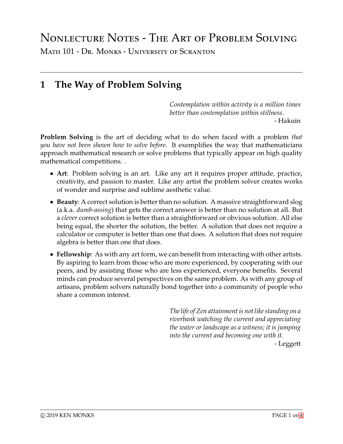# Nonlecture Notes - The Art of Problem Solving

Math 101 - Dr. Monks - University of Scranton

## **1 The Way of Problem Solving**

*Contemplation within activity is a million times better than contemplation within stillness.*

- Hakuin

**Problem Solving** is the art of deciding what to do when faced with a problem *that you have not been shown how to solve before*. It exemplifies the way that mathematicians approach mathematical research or solve problems that typically appear on high quality mathematical competitions. .

- **Art**: Problem solving is an art. Like any art it requires proper attitude, practice, creativity, and passion to master. Like any artist the problem solver creates works of wonder and surprise and sublime aesthetic value.
- **Beauty**: A correct solution is better than no solution. A massive straightforward slog (a.k.a. *dumb-assing*) that gets the correct answer is better than no solution at all. But a *clever* correct solution is better than a straightforward or obvious solution. All else being equal, the shorter the solution, the better. A solution that does not require a calculator or computer is better than one that does. A solution that does not require algebra is better than one that does.
- **Fellowship**: As with any art form, we can benefit from interacting with other artists. By aspiring to learn from those who are more experienced, by cooperating with our peers, and by assisting those who are less experienced, everyone benefits. Several minds can produce several perspectives on the same problem. As with any group of artisans, problem solvers naturally bond together into a community of people who share a common interest.

*The life of Zen attainment is not like standing on a riverbank watching the current and appreciating the water or landscape as a witness; it is jumping into the current and becoming one with it.* - Leggett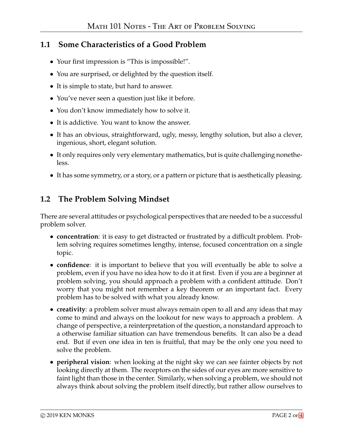### **1.1 Some Characteristics of a Good Problem**

- Your first impression is "This is impossible!".
- You are surprised, or delighted by the question itself.
- It is simple to state, but hard to answer.
- You've never seen a question just like it before.
- You don't know immediately how to solve it.
- It is addictive. You want to know the answer.
- It has an obvious, straightforward, ugly, messy, lengthy solution, but also a clever, ingenious, short, elegant solution.
- It only requires only very elementary mathematics, but is quite challenging nonetheless.
- It has some symmetry, or a story, or a pattern or picture that is aesthetically pleasing.

#### **1.2 The Problem Solving Mindset**

There are several attitudes or psychological perspectives that are needed to be a successful problem solver.

- **concentration**: it is easy to get distracted or frustrated by a difficult problem. Problem solving requires sometimes lengthy, intense, focused concentration on a single topic.
- **confidence**: it is important to believe that you will eventually be able to solve a problem, even if you have no idea how to do it at first. Even if you are a beginner at problem solving, you should approach a problem with a confident attitude. Don't worry that you might not remember a key theorem or an important fact. Every problem has to be solved with what you already know.
- **creativity**: a problem solver must always remain open to all and any ideas that may come to mind and always on the lookout for new ways to approach a problem. A change of perspective, a reinterpretation of the question, a nonstandard approach to a otherwise familiar situation can have tremendous benefits. It can also be a dead end. But if even one idea in ten is fruitful, that may be the only one you need to solve the problem.
- **peripheral vision**: when looking at the night sky we can see fainter objects by not looking directly at them. The receptors on the sides of our eyes are more sensitive to faint light than those in the center. Similarly, when solving a problem, we should not always think about solving the problem itself directly, but rather allow ourselves to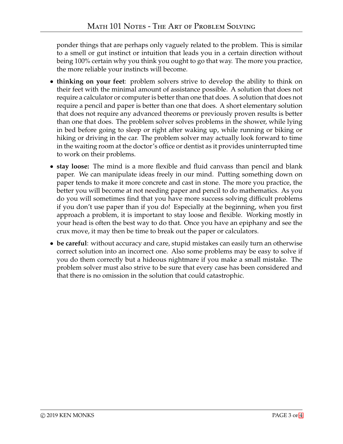ponder things that are perhaps only vaguely related to the problem. This is similar to a smell or gut instinct or intuition that leads you in a certain direction without being 100% certain why you think you ought to go that way. The more you practice, the more reliable your instincts will become.

- **thinking on your feet**: problem solvers strive to develop the ability to think on their feet with the minimal amount of assistance possible. A solution that does not require a calculator or computer is better than one that does. A solution that does not require a pencil and paper is better than one that does. A short elementary solution that does not require any advanced theorems or previously proven results is better than one that does. The problem solver solves problems in the shower, while lying in bed before going to sleep or right after waking up, while running or biking or hiking or driving in the car. The problem solver may actually look forward to time in the waiting room at the doctor's office or dentist as it provides uninterrupted time to work on their problems.
- **stay loose:** The mind is a more flexible and fluid canvass than pencil and blank paper. We can manipulate ideas freely in our mind. Putting something down on paper tends to make it more concrete and cast in stone. The more you practice, the better you will become at not needing paper and pencil to do mathematics. As you do you will sometimes find that you have more success solving difficult problems if you don't use paper than if you do! Especially at the beginning, when you first approach a problem, it is important to stay loose and flexible. Working mostly in your head is often the best way to do that. Once you have an epiphany and see the crux move, it may then be time to break out the paper or calculators.
- **be careful**: without accuracy and care, stupid mistakes can easily turn an otherwise correct solution into an incorrect one. Also some problems may be easy to solve if you do them correctly but a hideous nightmare if you make a small mistake. The problem solver must also strive to be sure that every case has been considered and that there is no omission in the solution that could catastrophic.